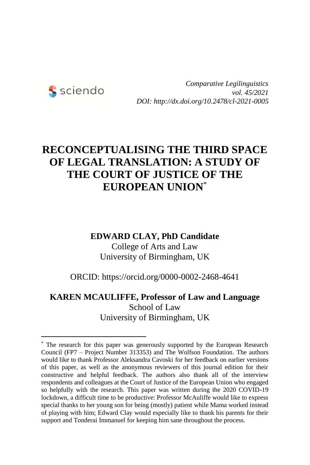

-

*Comparative Legilinguistics vol. 45/2021 DOI: http://dx.doi.org/10.2478/cl-2021-0005*

# **RECONCEPTUALISING THE THIRD SPACE OF LEGAL TRANSLATION: A STUDY OF THE COURT OF JUSTICE OF THE EUROPEAN UNION**\*

### **EDWARD CLAY, PhD Candidate**

College of Arts and Law University of Birmingham, UK

ORCID: https://orcid.org/0000-0002-2468-4641

## **KAREN MCAULIFFE, Professor of Law and Language** School of Law University of Birmingham, UK

<sup>\*</sup> The research for this paper was generously supported by the European Research Council (FP7 – Project Number 313353) and The Wolfson Foundation. The authors would like to thank Professor Aleksandra Cavoski for her feedback on earlier versions of this paper, as well as the anonymous reviewers of this journal edition for their constructive and helpful feedback. The authors also thank all of the interview respondents and colleagues at the Court of Justice of the European Union who engaged so helpfully with the research. This paper was written during the 2020 COVID-19 lockdown, a difficult time to be productive: Professor McAuliffe would like to express special thanks to her young son for being (mostly) patient while Mama worked instead of playing with him; Edward Clay would especially like to thank his parents for their support and Tonderai Immanuel for keeping him sane throughout the process.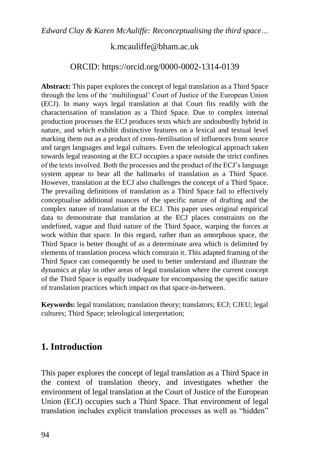### [k.mcauliffe@bham.ac.uk](mailto:k.mcauliffe@bham.ac.uk)

### ORCID: https://orcid.org/0000-0002-1314-0139

**Abstract:** This paper explores the concept of legal translation as a Third Space through the lens of the 'multilingual' Court of Justice of the European Union (ECJ). In many ways legal translation at that Court fits readily with the characterisation of translation as a Third Space. Due to complex internal production processes the ECJ produces texts which are undoubtedly hybrid in nature, and which exhibit distinctive features on a lexical and textual level marking them out as a product of cross-fertilisation of influences from source and target languages and legal cultures. Even the teleological approach taken towards legal reasoning at the ECJ occupies a space outside the strict confines of the texts involved. Both the processes and the product of the ECJ's language system appear to bear all the hallmarks of translation as a Third Space. However, translation at the ECJ also challenges the concept of a Third Space. The prevailing definitions of translation as a Third Space fail to effectively conceptualise additional nuances of the specific nature of drafting and the complex nature of translation at the ECJ. This paper uses original empirical data to demonstrate that translation at the ECJ places constraints on the undefined, vague and fluid nature of the Third Space, warping the forces at work within that space. In this regard, rather than an amorphous space, the Third Space is better thought of as a determinate area which is delimited by elements of translation process which constrain it. This adapted framing of the Third Space can consequently be used to better understand and illustrate the dynamics at play in other areas of legal translation where the current concept of the Third Space is equally inadequate for encompassing the specific nature of translation practices which impact on that space-in-between.

**Keywords:** legal translation; translation theory; translators; ECJ; CJEU; legal cultures; Third Space; teleological interpretation;

## **1. Introduction**

This paper explores the concept of legal translation as a Third Space in the context of translation theory, and investigates whether the environment of legal translation at the Court of Justice of the European Union (ECJ) occupies such a Third Space. That environment of legal translation includes explicit translation processes as well as "hidden"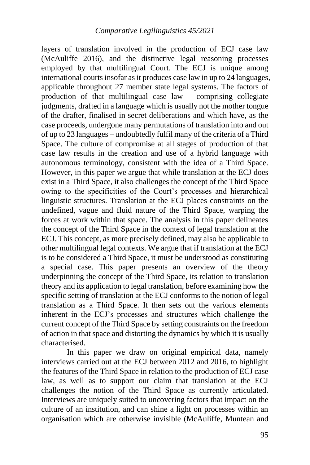layers of translation involved in the production of ECJ case law (McAuliffe 2016), and the distinctive legal reasoning processes employed by that multilingual Court. The ECJ is unique among international courts insofar as it produces case law in up to 24 languages, applicable throughout 27 member state legal systems. The factors of production of that multilingual case law – comprising collegiate judgments, drafted in a language which is usually not the mother tongue of the drafter, finalised in secret deliberations and which have, as the case proceeds, undergone many permutations of translation into and out of up to 23 languages – undoubtedly fulfil many of the criteria of a Third Space. The culture of compromise at all stages of production of that case law results in the creation and use of a hybrid language with autonomous terminology, consistent with the idea of a Third Space. However, in this paper we argue that while translation at the ECJ does exist in a Third Space, it also challenges the concept of the Third Space owing to the specificities of the Court's processes and hierarchical linguistic structures. Translation at the ECJ places constraints on the undefined, vague and fluid nature of the Third Space, warping the forces at work within that space. The analysis in this paper delineates the concept of the Third Space in the context of legal translation at the ECJ. This concept, as more precisely defined, may also be applicable to other multilingual legal contexts. We argue that if translation at the ECJ is to be considered a Third Space, it must be understood as constituting a special case. This paper presents an overview of the theory underpinning the concept of the Third Space, its relation to translation theory and its application to legal translation, before examining how the specific setting of translation at the ECJ conforms to the notion of legal translation as a Third Space. It then sets out the various elements inherent in the ECJ's processes and structures which challenge the current concept of the Third Space by setting constraints on the freedom of action in that space and distorting the dynamics by which it is usually characterised.

In this paper we draw on original empirical data, namely interviews carried out at the ECJ between 2012 and 2016, to highlight the features of the Third Space in relation to the production of ECJ case law, as well as to support our claim that translation at the ECJ challenges the notion of the Third Space as currently articulated. Interviews are uniquely suited to uncovering factors that impact on the culture of an institution, and can shine a light on processes within an organisation which are otherwise invisible (McAuliffe, Muntean and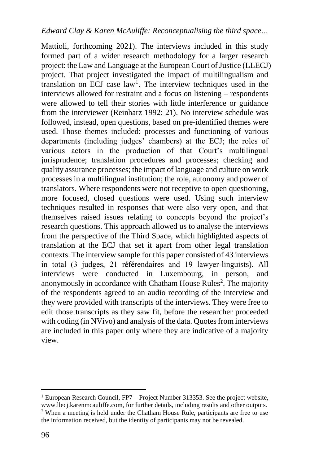Mattioli, forthcoming 2021). The interviews included in this study formed part of a wider research methodology for a larger research project: the Law and Language at the European Court of Justice (LLECJ) project. That project investigated the impact of multilingualism and translation on ECJ case  $law<sup>1</sup>$ . The interview techniques used in the interviews allowed for restraint and a focus on listening – respondents were allowed to tell their stories with little interference or guidance from the interviewer (Reinharz 1992: 21). No interview schedule was followed, instead, open questions, based on pre-identified themes were used. Those themes included: processes and functioning of various departments (including judges' chambers) at the ECJ; the roles of various actors in the production of that Court's multilingual jurisprudence; translation procedures and processes; checking and quality assurance processes; the impact of language and culture on work processes in a multilingual institution; the role, autonomy and power of translators. Where respondents were not receptive to open questioning, more focused, closed questions were used. Using such interview techniques resulted in responses that were also very open, and that themselves raised issues relating to concepts beyond the project's research questions. This approach allowed us to analyse the interviews from the perspective of the Third Space, which highlighted aspects of translation at the ECJ that set it apart from other legal translation contexts. The interview sample for this paper consisted of 43 interviews in total (3 judges, 21 référendaires and 19 lawyer-linguists). All interviews were conducted in Luxembourg, in person, and anonymously in accordance with Chatham House Rules<sup>2</sup>. The majority of the respondents agreed to an audio recording of the interview and they were provided with transcripts of the interviews. They were free to edit those transcripts as they saw fit, before the researcher proceeded with coding (in NVivo) and analysis of the data. Quotes from interviews are included in this paper only where they are indicative of a majority view.

<sup>-</sup> $1$  European Research Council, FP7 – Project Number 313353. See the project website, [www.llecj.karenmcauliffe.com,](http://www.llecj.karenmcauliffe.com/) for further details, including results and other outputs.

<sup>2</sup> When a meeting is held under the Chatham House Rule, participants are free to use the information received, but the identity of participants may not be revealed.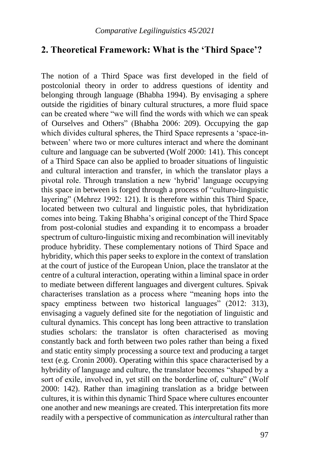### **2. Theoretical Framework: What is the 'Third Space'?**

The notion of a Third Space was first developed in the field of postcolonial theory in order to address questions of identity and belonging through language (Bhabha 1994). By envisaging a sphere outside the rigidities of binary cultural structures, a more fluid space can be created where "we will find the words with which we can speak of Ourselves and Others" (Bhabha 2006: 209). Occupying the gap which divides cultural spheres, the Third Space represents a 'space-inbetween' where two or more cultures interact and where the dominant culture and language can be subverted (Wolf 2000: 141). This concept of a Third Space can also be applied to broader situations of linguistic and cultural interaction and transfer, in which the translator plays a pivotal role. Through translation a new 'hybrid' language occupying this space in between is forged through a process of "culturo-linguistic layering" (Mehrez 1992: 121). It is therefore within this Third Space, located between two cultural and linguistic poles, that hybridization comes into being. Taking Bhabha's original concept of the Third Space from post-colonial studies and expanding it to encompass a broader spectrum of culturo-linguistic mixing and recombination will inevitably produce hybridity. These complementary notions of Third Space and hybridity, which this paper seeks to explore in the context of translation at the court of justice of the European Union, place the translator at the centre of a cultural interaction, operating within a liminal space in order to mediate between different languages and divergent cultures. Spivak characterises translation as a process where "meaning hops into the spacy emptiness between two historical languages" (2012: 313), envisaging a vaguely defined site for the negotiation of linguistic and cultural dynamics. This concept has long been attractive to translation studies scholars: the translator is often characterised as moving constantly back and forth between two poles rather than being a fixed and static entity simply processing a source text and producing a target text (e.g. Cronin 2000). Operating within this space characterised by a hybridity of language and culture, the translator becomes "shaped by a sort of exile, involved in, yet still on the borderline of, culture" (Wolf 2000: 142). Rather than imagining translation as a bridge between cultures, it is within this dynamic Third Space where cultures encounter one another and new meanings are created. This interpretation fits more readily with a perspective of communication as *inter*cultural rather than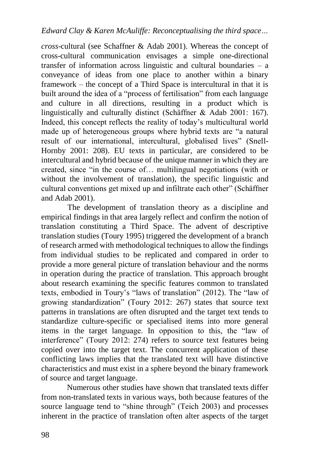*cross*-cultural (see Schaffner & Adab 2001). Whereas the concept of cross-cultural communication envisages a simple one-directional transfer of information across linguistic and cultural boundaries  $-$  a conveyance of ideas from one place to another within a binary framework – the concept of a Third Space is intercultural in that it is built around the idea of a "process of fertilisation" from each language and culture in all directions, resulting in a product which is linguistically and culturally distinct (Schäffner & Adab 2001: 167). Indeed, this concept reflects the reality of today's multicultural world made up of heterogeneous groups where hybrid texts are "a natural result of our international, intercultural, globalised lives" (Snell-Hornby 2001: 208). EU texts in particular, are considered to be intercultural and hybrid because of the unique manner in which they are created, since "in the course of… multilingual negotiations (with or without the involvement of translation), the specific linguistic and cultural conventions get mixed up and infiltrate each other" (Schäffner and Adab 2001).

The development of translation theory as a discipline and empirical findings in that area largely reflect and confirm the notion of translation constituting a Third Space. The advent of descriptive translation studies (Toury 1995) triggered the development of a branch of research armed with methodological techniques to allow the findings from individual studies to be replicated and compared in order to provide a more general picture of translation behaviour and the norms in operation during the practice of translation. This approach brought about research examining the specific features common to translated texts, embodied in Toury's "laws of translation" (2012). The "law of growing standardization" (Toury 2012: 267) states that source text patterns in translations are often disrupted and the target text tends to standardize culture-specific or specialised items into more general items in the target language. In opposition to this, the "law of interference" (Toury 2012: 274) refers to source text features being copied over into the target text. The concurrent application of these conflicting laws implies that the translated text will have distinctive characteristics and must exist in a sphere beyond the binary framework of source and target language.

Numerous other studies have shown that translated texts differ from non-translated texts in various ways, both because features of the source language tend to "shine through" (Teich 2003) and processes inherent in the practice of translation often alter aspects of the target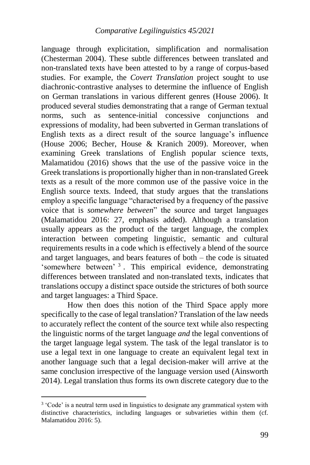language through explicitation, simplification and normalisation (Chesterman 2004). These subtle differences between translated and non-translated texts have been attested to by a range of corpus-based studies. For example, the *Covert Translation* project sought to use diachronic-contrastive analyses to determine the influence of English on German translations in various different genres (House 2006). It produced several studies demonstrating that a range of German textual norms, such as sentence-initial concessive conjunctions and expressions of modality, had been subverted in German translations of English texts as a direct result of the source language's influence (House 2006; Becher, House & Kranich 2009). Moreover, when examining Greek translations of English popular science texts, Malamatidou (2016) shows that the use of the passive voice in the Greek translations is proportionally higher than in non-translated Greek texts as a result of the more common use of the passive voice in the English source texts. Indeed, that study argues that the translations employ a specific language "characterised by a frequency of the passive voice that is *somewhere between*" the source and target languages (Malamatidou 2016: 27, emphasis added). Although a translation usually appears as the product of the target language, the complex interaction between competing linguistic, semantic and cultural requirements results in a code which is effectively a blend of the source and target languages, and bears features of both – the code is situated 'somewhere between' <sup>3</sup>. This empirical evidence, demonstrating differences between translated and non-translated texts, indicates that translations occupy a distinct space outside the strictures of both source and target languages: a Third Space.

How then does this notion of the Third Space apply more specifically to the case of legal translation? Translation of the law needs to accurately reflect the content of the source text while also respecting the linguistic norms of the target language *and* the legal conventions of the target language legal system. The task of the legal translator is to use a legal text in one language to create an equivalent legal text in another language such that a legal decision-maker will arrive at the same conclusion irrespective of the language version used (Ainsworth 2014). Legal translation thus forms its own discrete category due to the

<sup>&</sup>lt;sup>3</sup> 'Code' is a neutral term used in linguistics to designate any grammatical system with distinctive characteristics, including languages or subvarieties within them (cf. Malamatidou 2016: 5).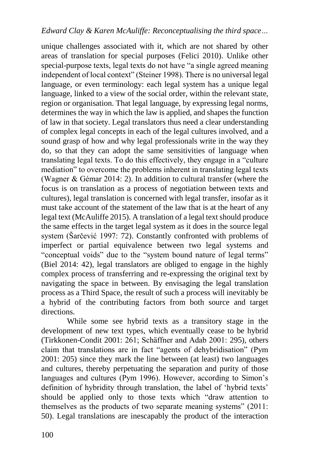unique challenges associated with it, which are not shared by other areas of translation for special purposes (Felici 2010). Unlike other special-purpose texts, legal texts do not have "a single agreed meaning independent of local context" (Steiner 1998). There is no universal legal language, or even terminology: each legal system has a unique legal language, linked to a view of the social order, within the relevant state, region or organisation. That legal language, by expressing legal norms, determines the way in which the law is applied, and shapes the function of law in that society. Legal translators thus need a clear understanding of complex legal concepts in each of the legal cultures involved, and a sound grasp of how and why legal professionals write in the way they do, so that they can adopt the same sensitivities of language when translating legal texts. To do this effectively, they engage in a "culture mediation" to overcome the problems inherent in translating legal texts (Wagner & Gémar 2014: 2). In addition to cultural transfer (where the focus is on translation as a process of negotiation between texts and cultures), legal translation is concerned with legal transfer, insofar as it must take account of the statement of the law that is at the heart of any legal text (McAuliffe 2015). A translation of a legal text should produce the same effects in the target legal system as it does in the source legal system (Šarčević 1997: 72). Constantly confronted with problems of imperfect or partial equivalence between two legal systems and "conceptual voids" due to the "system bound nature of legal terms" (Biel 2014: 42), legal translators are obliged to engage in the highly complex process of transferring and re-expressing the original text by navigating the space in between. By envisaging the legal translation process as a Third Space, the result of such a process will inevitably be a hybrid of the contributing factors from both source and target directions.

While some see hybrid texts as a transitory stage in the development of new text types, which eventually cease to be hybrid (Tirkkonen-Condit 2001: 261; Schäffner and Adab 2001: 295), others claim that translations are in fact "agents of dehybridisation" (Pym 2001: 205) since they mark the line between (at least) two languages and cultures, thereby perpetuating the separation and purity of those languages and cultures (Pym 1996). However, according to Simon's definition of hybridity through translation, the label of 'hybrid texts' should be applied only to those texts which "draw attention to themselves as the products of two separate meaning systems" (2011: 50). Legal translations are inescapably the product of the interaction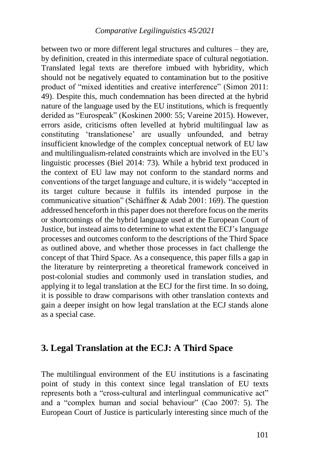between two or more different legal structures and cultures – they are, by definition, created in this intermediate space of cultural negotiation. Translated legal texts are therefore imbued with hybridity, which should not be negatively equated to contamination but to the positive product of "mixed identities and creative interference" (Simon 2011: 49). Despite this, much condemnation has been directed at the hybrid nature of the language used by the EU institutions, which is frequently derided as "Eurospeak" (Koskinen 2000: 55; Vareine 2015). However, errors aside, criticisms often levelled at hybrid multilingual law as constituting 'translationese' are usually unfounded, and betray insufficient knowledge of the complex conceptual network of EU law and multilingualism-related constraints which are involved in the EU's linguistic processes (Biel 2014: 73). While a hybrid text produced in the context of EU law may not conform to the standard norms and conventions of the target language and culture, it is widely "accepted in its target culture because it fulfils its intended purpose in the communicative situation" (Schäffner & Adab 2001: 169). The question addressed henceforth in this paper does not therefore focus on the merits or shortcomings of the hybrid language used at the European Court of Justice, but instead aims to determine to what extent the ECJ's language processes and outcomes conform to the descriptions of the Third Space as outlined above, and whether those processes in fact challenge the concept of that Third Space. As a consequence, this paper fills a gap in the literature by reinterpreting a theoretical framework conceived in post-colonial studies and commonly used in translation studies, and applying it to legal translation at the ECJ for the first time. In so doing, it is possible to draw comparisons with other translation contexts and gain a deeper insight on how legal translation at the ECJ stands alone as a special case.

### **3. Legal Translation at the ECJ: A Third Space**

The multilingual environment of the EU institutions is a fascinating point of study in this context since legal translation of EU texts represents both a "cross-cultural and interlingual communicative act" and a "complex human and social behaviour" (Cao 2007: 5). The European Court of Justice is particularly interesting since much of the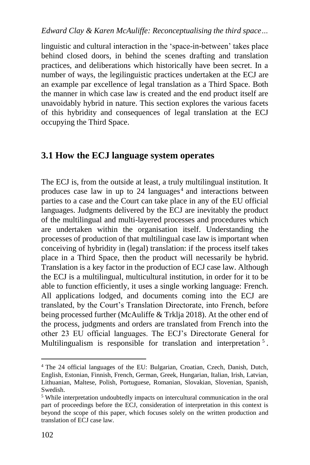linguistic and cultural interaction in the 'space-in-between' takes place behind closed doors, in behind the scenes drafting and translation practices, and deliberations which historically have been secret. In a number of ways, the legilinguistic practices undertaken at the ECJ are an example par excellence of legal translation as a Third Space. Both the manner in which case law is created and the end product itself are unavoidably hybrid in nature. This section explores the various facets of this hybridity and consequences of legal translation at the ECJ occupying the Third Space.

## **3.1 How the ECJ language system operates**

The ECJ is, from the outside at least, a truly multilingual institution. It produces case law in up to 24 languages<sup>4</sup> and interactions between parties to a case and the Court can take place in any of the EU official languages. Judgments delivered by the ECJ are inevitably the product of the multilingual and multi-layered processes and procedures which are undertaken within the organisation itself. Understanding the processes of production of that multilingual case law is important when conceiving of hybridity in (legal) translation: if the process itself takes place in a Third Space, then the product will necessarily be hybrid. Translation is a key factor in the production of ECJ case law. Although the ECJ is a multilingual, multicultural institution, in order for it to be able to function efficiently, it uses a single working language: French. All applications lodged, and documents coming into the ECJ are translated, by the Court's Translation Directorate, into French, before being processed further (McAuliffe & Trklja 2018). At the other end of the process, judgments and orders are translated from French into the other 23 EU official languages. The ECJ's Directorate General for Multilingualism is responsible for translation and interpretation<sup>5</sup>.

<sup>4</sup> The 24 official languages of the EU: Bulgarian, Croatian, Czech, Danish, Dutch, English, Estonian, Finnish, French, German, Greek, Hungarian, Italian, Irish, Latvian, Lithuanian, Maltese, Polish, Portuguese, Romanian, Slovakian, Slovenian, Spanish, Swedish.

<sup>5</sup> While interpretation undoubtedly impacts on intercultural communication in the oral part of proceedings before the ECJ, consideration of interpretation in this context is beyond the scope of this paper, which focuses solely on the written production and translation of ECJ case law.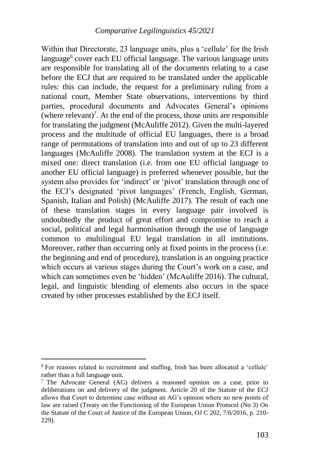Within that Directorate, 23 language units, plus a 'cellule' for the Irish language<sup>6</sup> cover each EU official language. The various language units are responsible for translating all of the documents relating to a case before the ECJ that are required to be translated under the applicable rules: this can include, the request for a preliminary ruling from a national court, Member State observations, interventions by third parties, procedural documents and Advocates General's opinions  $($ where relevant $)^7$ . At the end of the process, those units are responsible for translating the judgment (McAuliffe 2012). Given the multi-layered process and the multitude of official EU languages, there is a broad range of permutations of translation into and out of up to 23 different languages (McAuliffe 2008). The translation system at the ECJ is a mixed one: direct translation (i.e. from one EU official language to another EU official language) is preferred whenever possible, but the system also provides for 'indirect' or 'pivot' translation through one of the ECJ's designated 'pivot languages' (French, English, German, Spanish, Italian and Polish) (McAuliffe 2017). The result of each one of these translation stages in every language pair involved is undoubtedly the product of great effort and compromise to reach a social, political and legal harmonisation through the use of language common to multilingual EU legal translation in all institutions. Moreover, rather than occurring only at fixed points in the process (i.e. the beginning and end of procedure), translation is an ongoing practice which occurs at various stages during the Court's work on a case, and which can sometimes even be 'hidden' (McAuliffe 2016). The cultural, legal, and linguistic blending of elements also occurs in the space created by other processes established by the ECJ itself.

<sup>6</sup> For reasons related to recruitment and staffing, Irish has been allocated a 'cellule' rather than a full language unit.

<sup>&</sup>lt;sup>7</sup> The Advocate General (AG) delivers a reasoned opinion on a case, prior to deliberations on and delivery of the judgment. Article 20 of the Statute of the ECJ allows that Court to determine case without an AG's opinion where no new points of law are raised (Treaty on the Functioning of the European Union Protocol (No 3) On the Statute of the Court of Justice of the European Union, OJ C 202, 7/6/2016, p. 210- 229).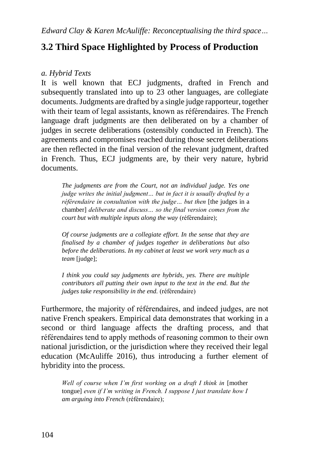## **3.2 Third Space Highlighted by Process of Production**

### *a. Hybrid Texts*

It is well known that ECJ judgments, drafted in French and subsequently translated into up to 23 other languages, are collegiate documents. Judgments are drafted by a single judge rapporteur, together with their team of legal assistants, known as référendaires. The French language draft judgments are then deliberated on by a chamber of judges in secrete deliberations (ostensibly conducted in French). The agreements and compromises reached during those secret deliberations are then reflected in the final version of the relevant judgment, drafted in French. Thus, ECJ judgments are, by their very nature, hybrid documents.

*The judgments are from the Court, not an individual judge. Yes one judge writes the initial judgment… but in fact it is usually drafted by a référendaire in consultation with the judge... but then* [the judges in a chamber] *deliberate and discuss… so the final version comes from the court but with multiple inputs along the way* (référendaire);

*Of course judgments are a collegiate effort. In the sense that they are finalised by a chamber of judges together in deliberations but also before the deliberations. In my cabinet at least we work very much as a team* [judge];

*I think you could say judgments are hybrids, yes. There are multiple contributors all putting their own input to the text in the end. But the judges take responsibility in the end.* (référendaire)

Furthermore, the majority of référendaires, and indeed judges, are not native French speakers. Empirical data demonstrates that working in a second or third language affects the drafting process, and that référendaires tend to apply methods of reasoning common to their own national jurisdiction, or the jurisdiction where they received their legal education (McAuliffe 2016), thus introducing a further element of hybridity into the process.

*Well of course when I'm first working on a draft I think in [mother* tongue] *even if I'm writing in French. I suppose I just translate how I am arguing into French* (référendaire);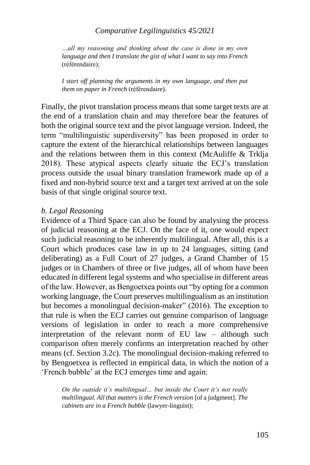#### *Comparative Legilinguistics 45/2021*

*…all my reasoning and thinking about the case is done in my own language and then I translate the gist of what I want to say into French*  (référendaire);

*I start off planning the arguments in my own language, and then put them on paper in French* (référendaire).

Finally, the pivot translation process means that some target texts are at the end of a translation chain and may therefore bear the features of both the original source text and the pivot language version. Indeed, the term "multilinguistic superdiversity" has been proposed in order to capture the extent of the hierarchical relationships between languages and the relations between them in this context (McAuliffe & Trklja 2018). These atypical aspects clearly situate the ECJ's translation process outside the usual binary translation framework made up of a fixed and non-hybrid source text and a target text arrived at on the sole basis of that single original source text.

#### *b. Legal Reasoning*

Evidence of a Third Space can also be found by analysing the process of judicial reasoning at the ECJ. On the face of it, one would expect such judicial reasoning to be inherently multilingual. After all, this is a Court which produces case law in up to 24 languages, sitting (and deliberating) as a Full Court of 27 judges, a Grand Chamber of 15 judges or in Chambers of three or five judges, all of whom have been educated in different legal systems and who specialise in different areas of the law. However, as Bengoetxea points out "by opting for a common working language, the Court preserves multilingualism as an institution but becomes a monolingual decision-maker" (2016). The exception to that rule is when the ECJ carries out genuine comparison of language versions of legislation in order to reach a more comprehensive interpretation of the relevant norm of EU law – although such comparison often merely confirms an interpretation reached by other means (cf. Section 3.2c). The monolingual decision-making referred to by Bengoetxea is reflected in empirical data, in which the notion of a 'French bubble' at the ECJ emerges time and again:

*On the outside it's multilingual… but inside the Court it's not really multilingual. All that matters is the French version* [of a judgment]*. The cabinets are in a French bubble* (lawyer-linguist);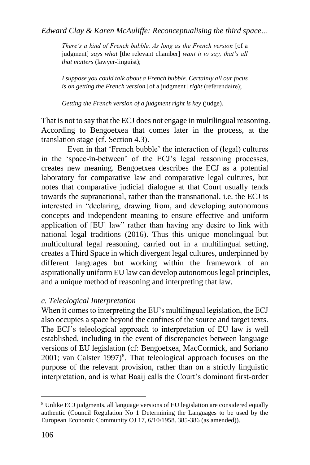*There's a kind of French bubble. As long as the French version* [of a judgment] *says what* [the relevant chamber] *want it to say, that's all that matters* (lawyer-linguist);

*I suppose you could talk about a French bubble. Certainly all our focus is on getting the French version* [of a judgment] *right* (référendaire);

*Getting the French version of a judgment right is key* (judge).

That is not to say that the ECJ does not engage in multilingual reasoning. According to Bengoetxea that comes later in the process, at the translation stage (cf. Section 4.3).

Even in that 'French bubble' the interaction of (legal) cultures in the 'space-in-between' of the ECJ's legal reasoning processes, creates new meaning. Bengoetxea describes the ECJ as a potential laboratory for comparative law and comparative legal cultures, but notes that comparative judicial dialogue at that Court usually tends towards the supranational, rather than the transnational. i.e. the ECJ is interested in "declaring, drawing from, and developing autonomous concepts and independent meaning to ensure effective and uniform application of [EU] law" rather than having any desire to link with national legal traditions (2016). Thus this unique monolingual but multicultural legal reasoning, carried out in a multilingual setting, creates a Third Space in which divergent legal cultures, underpinned by different languages but working within the framework of an aspirationally uniform EU law can develop autonomous legal principles, and a unique method of reasoning and interpreting that law.

### *c. Teleological Interpretation*

When it comes to interpreting the EU's multilingual legislation, the ECJ also occupies a space beyond the confines of the source and target texts. The ECJ's teleological approach to interpretation of EU law is well established, including in the event of discrepancies between language versions of EU legislation (cf: Bengoetxea, MacCormick, and Soriano  $2001$ ; van Calster 1997)<sup>8</sup>. That teleological approach focuses on the purpose of the relevant provision, rather than on a strictly linguistic interpretation, and is what Baaij calls the Court's dominant first-order

<sup>8</sup> Unlike ECJ judgments, all language versions of EU legislation are considered equally authentic (Council Regulation No 1 Determining the Languages to be used by the European Economic Community OJ 17, 6/10/1958. 385-386 (as amended)).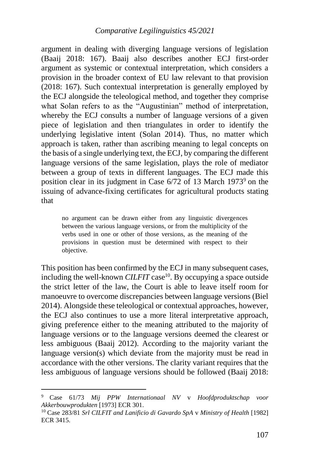argument in dealing with diverging language versions of legislation (Baaij 2018: 167). Baaij also describes another ECJ first-order argument as systemic or contextual interpretation, which considers a provision in the broader context of EU law relevant to that provision (2018: 167). Such contextual interpretation is generally employed by the ECJ alongside the teleological method, and together they comprise what Solan refers to as the "Augustinian" method of interpretation, whereby the ECJ consults a number of language versions of a given piece of legislation and then triangulates in order to identify the underlying legislative intent (Solan 2014). Thus, no matter which approach is taken, rather than ascribing meaning to legal concepts on the basis of a single underlying text, the ECJ, by comparing the different language versions of the same legislation, plays the role of mediator between a group of texts in different languages. The ECJ made this position clear in its judgment in Case  $6/72$  of 13 March 1973<sup>9</sup> on the issuing of advance-fixing certificates for agricultural products stating that

no argument can be drawn either from any linguistic divergences between the various language versions, or from the multiplicity of the verbs used in one or other of those versions, as the meaning of the provisions in question must be determined with respect to their objective.

This position has been confirmed by the ECJ in many subsequent cases, including the well-known CILFIT case<sup>10</sup>. By occupying a space outside the strict letter of the law, the Court is able to leave itself room for manoeuvre to overcome discrepancies between language versions (Biel 2014). Alongside these teleological or contextual approaches, however, the ECJ also continues to use a more literal interpretative approach, giving preference either to the meaning attributed to the majority of language versions or to the language versions deemed the clearest or less ambiguous (Baaij 2012). According to the majority variant the language version(s) which deviate from the majority must be read in accordance with the other versions. The clarity variant requires that the less ambiguous of language versions should be followed (Baaij 2018:

<sup>9</sup> Case 61/73 *Mij PPW Internationaal NV* v *Hoofdproduktschap voor Akkerbouwprodukten* [1973] ECR 301.

<sup>10</sup> Case 283/81 *Srl CILFIT and Lanificio di Gavardo SpA* v *Ministry of Health* [1982] ECR 3415.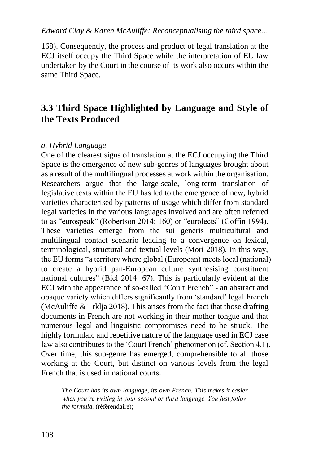168). Consequently, the process and product of legal translation at the ECJ itself occupy the Third Space while the interpretation of EU law undertaken by the Court in the course of its work also occurs within the same Third Space.

## **3.3 Third Space Highlighted by Language and Style of the Texts Produced**

#### *a. Hybrid Language*

One of the clearest signs of translation at the ECJ occupying the Third Space is the emergence of new sub-genres of languages brought about as a result of the multilingual processes at work within the organisation. Researchers argue that the large-scale, long-term translation of legislative texts within the EU has led to the emergence of new, hybrid varieties characterised by patterns of usage which differ from standard legal varieties in the various languages involved and are often referred to as "eurospeak" (Robertson 2014: 160) or "eurolects" (Goffin 1994). These varieties emerge from the sui generis multicultural and multilingual contact scenario leading to a convergence on lexical, terminological, structural and textual levels (Mori 2018). In this way, the EU forms "a territory where global (European) meets local (national) to create a hybrid pan-European culture synthesising constituent national cultures" (Biel 2014: 67). This is particularly evident at the ECJ with the appearance of so-called "Court French" - an abstract and opaque variety which differs significantly from 'standard' legal French (McAuliffe & Trklja 2018). This arises from the fact that those drafting documents in French are not working in their mother tongue and that numerous legal and linguistic compromises need to be struck. The highly formulaic and repetitive nature of the language used in ECJ case law also contributes to the 'Court French' phenomenon (cf. Section 4.1). Over time, this sub-genre has emerged, comprehensible to all those working at the Court, but distinct on various levels from the legal French that is used in national courts.

*The Court has its own language, its own French. This makes it easier when you're writing in your second or third language. You just follow the formula.* (référendaire);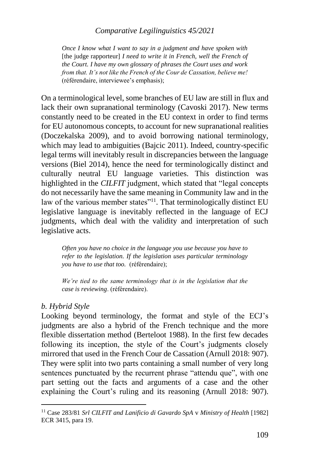#### *Comparative Legilinguistics 45/2021*

*Once I know what I want to say in a judgment and have spoken with*  [the judge rapporteur] *I need to write it in French, well the French of the Court. I have my own glossary of phrases the Court uses and work from that. It's not like the French of the Cour de Cassation, believe me!* (référendaire, interviewee's emphasis);

On a terminological level, some branches of EU law are still in flux and lack their own supranational terminology (Cavoski 2017). New terms constantly need to be created in the EU context in order to find terms for EU autonomous concepts, to account for new supranational realities (Doczekalska 2009), and to avoid borrowing national terminology, which may lead to ambiguities (Bajcic 2011). Indeed, country-specific legal terms will inevitably result in discrepancies between the language versions (Biel 2014), hence the need for terminologically distinct and culturally neutral EU language varieties. This distinction was highlighted in the *CILFIT* judgment, which stated that "legal concepts do not necessarily have the same meaning in Community law and in the law of the various member states"<sup>11</sup>. That terminologically distinct EU legislative language is inevitably reflected in the language of ECJ judgments, which deal with the validity and interpretation of such legislative acts.

*Often you have no choice in the language you use because you have to refer to the legislation. If the legislation uses particular terminology you have to use that too.* (référendaire);

*We're tied to the same terminology that is in the legislation that the case is reviewing*. (référendaire).

#### *b. Hybrid Style*

-

Looking beyond terminology, the format and style of the ECJ's judgments are also a hybrid of the French technique and the more flexible dissertation method (Berteloot 1988). In the first few decades following its inception, the style of the Court's judgments closely mirrored that used in the French Cour de Cassation (Arnull 2018: 907). They were split into two parts containing a small number of very long sentences punctuated by the recurrent phrase "attendu que", with one part setting out the facts and arguments of a case and the other explaining the Court's ruling and its reasoning (Arnull 2018: 907).

<sup>11</sup> Case 283/81 *Srl CILFIT and Lanificio di Gavardo SpA* v *Ministry of Health* [1982] ECR 3415, para 19.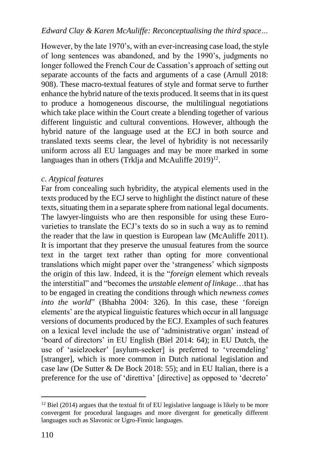However, by the late 1970's, with an ever-increasing case load, the style of long sentences was abandoned, and by the 1990's, judgments no longer followed the French Cour de Cassation's approach of setting out separate accounts of the facts and arguments of a case (Arnull 2018: 908). These macro-textual features of style and format serve to further enhance the hybrid nature of the texts produced. It seems that in its quest to produce a homogeneous discourse, the multilingual negotiations which take place within the Court create a blending together of various different linguistic and cultural conventions. However, although the hybrid nature of the language used at the ECJ in both source and translated texts seems clear, the level of hybridity is not necessarily uniform across all EU languages and may be more marked in some languages than in others (Trklja and McAuliffe 2019)<sup>12</sup>.

### *c. Atypical features*

Far from concealing such hybridity, the atypical elements used in the texts produced by the ECJ serve to highlight the distinct nature of these texts, situating them in a separate sphere from national legal documents. The lawyer-linguists who are then responsible for using these Eurovarieties to translate the ECJ's texts do so in such a way as to remind the reader that the law in question is European law (McAuliffe 2011). It is important that they preserve the unusual features from the source text in the target text rather than opting for more conventional translations which might paper over the 'strangeness' which signposts the origin of this law. Indeed, it is the "*foreign* element which reveals the interstitial" and "becomes the *unstable element of linkage*…that has to be engaged in creating the conditions through which *newness comes into the world*" (Bhabha 2004: 326). In this case, these 'foreign elements' are the atypical linguistic features which occur in all language versions of documents produced by the ECJ. Examples of such features on a lexical level include the use of 'administrative organ' instead of 'board of directors' in EU English (Biel 2014: 64); in EU Dutch, the use of 'asielzoeker' [asylum-seeker] is preferred to 'vreemdeling' [stranger], which is more common in Dutch national legislation and case law (De Sutter & De Bock 2018: 55); and in EU Italian, there is a preference for the use of 'direttiva' [directive] as opposed to 'decreto'

 $12$  Biel (2014) argues that the textual fit of EU legislative language is likely to be more convergent for procedural languages and more divergent for genetically different languages such as Slavonic or Ugro-Finnic languages.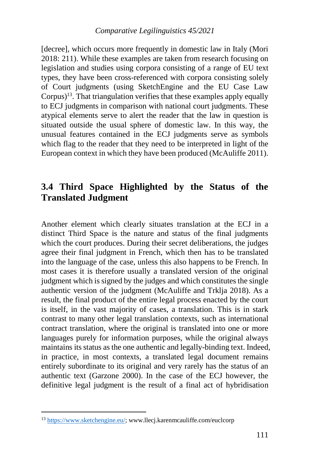[decree], which occurs more frequently in domestic law in Italy (Mori 2018: 211). While these examples are taken from research focusing on legislation and studies using corpora consisting of a range of EU text types, they have been cross-referenced with corpora consisting solely of Court judgments (using SketchEngine and the EU Case Law Corpus)<sup>13</sup>. That triangulation verifies that these examples apply equally to ECJ judgments in comparison with national court judgments. These atypical elements serve to alert the reader that the law in question is situated outside the usual sphere of domestic law. In this way, the unusual features contained in the ECJ judgments serve as symbols which flag to the reader that they need to be interpreted in light of the European context in which they have been produced (McAuliffe 2011).

## **3.4 Third Space Highlighted by the Status of the Translated Judgment**

Another element which clearly situates translation at the ECJ in a distinct Third Space is the nature and status of the final judgments which the court produces. During their secret deliberations, the judges agree their final judgment in French, which then has to be translated into the language of the case, unless this also happens to be French. In most cases it is therefore usually a translated version of the original judgment which is signed by the judges and which constitutes the single authentic version of the judgment (McAuliffe and Trklja 2018). As a result, the final product of the entire legal process enacted by the court is itself, in the vast majority of cases, a translation. This is in stark contrast to many other legal translation contexts, such as international contract translation, where the original is translated into one or more languages purely for information purposes, while the original always maintains its status as the one authentic and legally-binding text. Indeed, in practice, in most contexts, a translated legal document remains entirely subordinate to its original and very rarely has the status of an authentic text (Garzone 2000). In the case of the ECJ however, the definitive legal judgment is the result of a final act of hybridisation

<sup>13</sup> [https://www.sketchengine.eu/;](https://www.sketchengine.eu/) www.llecj.karenmcauliffe.com/euclcorp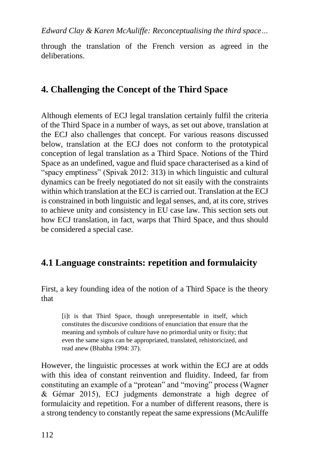through the translation of the French version as agreed in the deliberations.

## **4. Challenging the Concept of the Third Space**

Although elements of ECJ legal translation certainly fulfil the criteria of the Third Space in a number of ways, as set out above, translation at the ECJ also challenges that concept. For various reasons discussed below, translation at the ECJ does not conform to the prototypical conception of legal translation as a Third Space. Notions of the Third Space as an undefined, vague and fluid space characterised as a kind of "spacy emptiness" (Spivak 2012: 313) in which linguistic and cultural dynamics can be freely negotiated do not sit easily with the constraints within which translation at the ECJ is carried out. Translation at the ECJ is constrained in both linguistic and legal senses, and, at its core, strives to achieve unity and consistency in EU case law. This section sets out how ECJ translation, in fact, warps that Third Space, and thus should be considered a special case.

## **4.1 Language constraints: repetition and formulaicity**

First, a key founding idea of the notion of a Third Space is the theory that

[i]t is that Third Space, though unrepresentable in itself, which constitutes the discursive conditions of enunciation that ensure that the meaning and symbols of culture have no primordial unity or fixity; that even the same signs can be appropriated, translated, rehistoricized, and read anew (Bhabha 1994: 37).

However, the linguistic processes at work within the ECJ are at odds with this idea of constant reinvention and fluidity. Indeed, far from constituting an example of a "protean" and "moving" process (Wagner & Gémar 2015), ECJ judgments demonstrate a high degree of formulaicity and repetition. For a number of different reasons, there is a strong tendency to constantly repeat the same expressions (McAuliffe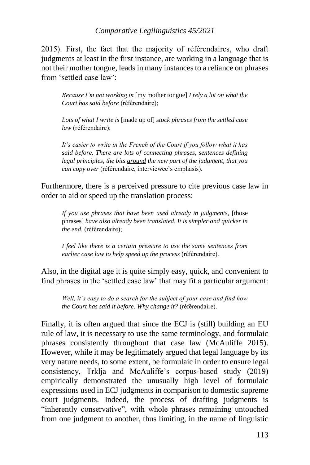### *Comparative Legilinguistics 45/2021*

2015). First, the fact that the majority of référendaires, who draft judgments at least in the first instance, are working in a language that is not their mother tongue, leads in many instances to a reliance on phrases from 'settled case law':

*Because I'm not working in* [my mother tongue] *I rely a lot on what the Court has said before* (référendaire);

*Lots of what I write is* [made up of] *stock phrases from the settled case law* (référendaire);

*It's easier to write in the French of the Court if you follow what it has said before. There are lots of connecting phrases, sentences defining legal principles, the bits around the new part of the judgment, that you can copy over* (référendaire, interviewee's emphasis).

Furthermore, there is a perceived pressure to cite previous case law in order to aid or speed up the translation process:

*If you use phrases that have been used already in judgments,* [those phrases] *have also already been translated. It is simpler and quicker in the end.* (référendaire);

*I feel like there is a certain pressure to use the same sentences from earlier case law to help speed up the process* (référendaire).

Also, in the digital age it is quite simply easy, quick, and convenient to find phrases in the 'settled case law' that may fit a particular argument:

*Well, it's easy to do a search for the subject of your case and find how the Court has said it before. Why change it?* (référendaire).

Finally, it is often argued that since the ECJ is (still) building an EU rule of law, it is necessary to use the same terminology, and formulaic phrases consistently throughout that case law (McAuliffe 2015). However, while it may be legitimately argued that legal language by its very nature needs, to some extent, be formulaic in order to ensure legal consistency, Trklja and McAuliffe's corpus-based study (2019) empirically demonstrated the unusually high level of formulaic expressions used in ECJ judgments in comparison to domestic supreme court judgments. Indeed, the process of drafting judgments is "inherently conservative", with whole phrases remaining untouched from one judgment to another, thus limiting, in the name of linguistic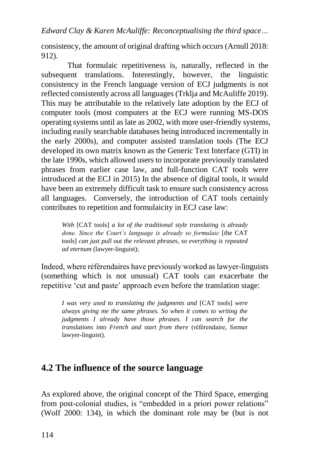consistency, the amount of original drafting which occurs (Arnull 2018: 912).

That formulaic repetitiveness is, naturally, reflected in the subsequent translations. Interestingly, however, the linguistic consistency in the French language version of ECJ judgments is not reflected consistently across all languages (Trklja and McAuliffe 2019). This may be attributable to the relatively late adoption by the ECJ of computer tools (most computers at the ECJ were running MS-DOS operating systems until as late as 2002, with more user-friendly systems, including easily searchable databases being introduced incrementally in the early 2000s), and computer assisted translation tools (The ECJ developed its own matrix known as the Generic Text Interface (GTI) in the late 1990s, which allowed users to incorporate previously translated phrases from earlier case law, and full-function CAT tools were introduced at the ECJ in 2015) In the absence of digital tools, it would have been an extremely difficult task to ensure such consistency across all languages. Conversely, the introduction of CAT tools certainly contributes to repetition and formulaicity in ECJ case law:

*With* [CAT tools] *a lot of the traditional style translating is already done. Since the Court's language is already so formulaic* [the CAT tools] *can just pull out the relevant phrases, so everything is repeated ad eternum* (lawyer-linguist);

Indeed, where référendaires have previously worked as lawyer-linguists (something which is not unusual) CAT tools can exacerbate the repetitive 'cut and paste' approach even before the translation stage:

*I was very used to translating the judgments and* [CAT tools] *were always giving me the same phrases. So when it comes to writing the judgments I already have those phrases. I can search for the translations into French and start from there* (référendaire, former lawyer-linguist).

## **4.2 The influence of the source language**

As explored above, the original concept of the Third Space, emerging from post-colonial studies, is "embedded in a priori power relations" (Wolf 2000: 134), in which the dominant role may be (but is not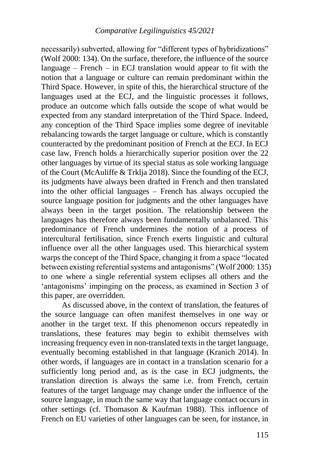necessarily) subverted, allowing for "different types of hybridizations" (Wolf 2000: 134). On the surface, therefore, the influence of the source language – French – in ECJ translation would appear to fit with the notion that a language or culture can remain predominant within the Third Space. However, in spite of this, the hierarchical structure of the languages used at the ECJ, and the linguistic processes it follows, produce an outcome which falls outside the scope of what would be expected from any standard interpretation of the Third Space. Indeed, any conception of the Third Space implies some degree of inevitable rebalancing towards the target language or culture, which is constantly counteracted by the predominant position of French at the ECJ. In ECJ case law, French holds a hierarchically superior position over the 22 other languages by virtue of its special status as sole working language of the Court (McAuliffe & Trklja 2018). Since the founding of the ECJ, its judgments have always been drafted in French and then translated into the other official languages – French has always occupied the source language position for judgments and the other languages have always been in the target position. The relationship between the languages has therefore always been fundamentally unbalanced. This predominance of French undermines the notion of a process of intercultural fertilisation, since French exerts linguistic and cultural influence over all the other languages used. This hierarchical system warps the concept of the Third Space, changing it from a space "located between existing referential systems and antagonisms" (Wolf 2000: 135) to one where a single referential system eclipses all others and the 'antagonisms' impinging on the process, as examined in Section 3 of this paper, are overridden.

As discussed above, in the context of translation, the features of the source language can often manifest themselves in one way or another in the target text. If this phenomenon occurs repeatedly in translations, these features may begin to exhibit themselves with increasing frequency even in non-translated texts in the target language, eventually becoming established in that language (Kranich 2014). In other words, if languages are in contact in a translation scenario for a sufficiently long period and, as is the case in ECJ judgments, the translation direction is always the same i.e. from French, certain features of the target language may change under the influence of the source language, in much the same way that language contact occurs in other settings (cf. Thomason & Kaufman 1988). This influence of French on EU varieties of other languages can be seen, for instance, in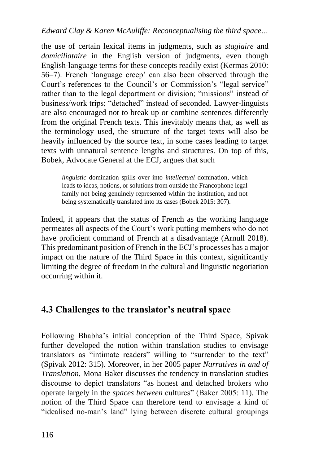the use of certain lexical items in judgments, such as *stagiaire* and *domiciliataire* in the English version of judgments, even though English-language terms for these concepts readily exist (Kermas 2010: 56–7). French 'language creep' can also been observed through the Court's references to the Council's or Commission's "legal service" rather than to the legal department or division; "missions" instead of business/work trips; "detached" instead of seconded. Lawyer-linguists are also encouraged not to break up or combine sentences differently from the original French texts. This inevitably means that, as well as the terminology used, the structure of the target texts will also be heavily influenced by the source text, in some cases leading to target texts with unnatural sentence lengths and structures. On top of this, Bobek, Advocate General at the ECJ, argues that such

*linguistic* domination spills over into *intellectual* domination, which leads to ideas, notions, or solutions from outside the Francophone legal family not being genuinely represented within the institution, and not being systematically translated into its cases (Bobek 2015: 307).

Indeed, it appears that the status of French as the working language permeates all aspects of the Court's work putting members who do not have proficient command of French at a disadvantage (Arnull 2018). This predominant position of French in the ECJ's processes has a major impact on the nature of the Third Space in this context, significantly limiting the degree of freedom in the cultural and linguistic negotiation occurring within it.

## **4.3 Challenges to the translator's neutral space**

Following Bhabha's initial conception of the Third Space, Spivak further developed the notion within translation studies to envisage translators as "intimate readers" willing to "surrender to the text" (Spivak 2012: 315). Moreover, in her 2005 paper *Narratives in and of Translation*, Mona Baker discusses the tendency in translation studies discourse to depict translators "as honest and detached brokers who operate largely in the *spaces between* cultures" (Baker 2005: 11). The notion of the Third Space can therefore tend to envisage a kind of "idealised no-man's land" lying between discrete cultural groupings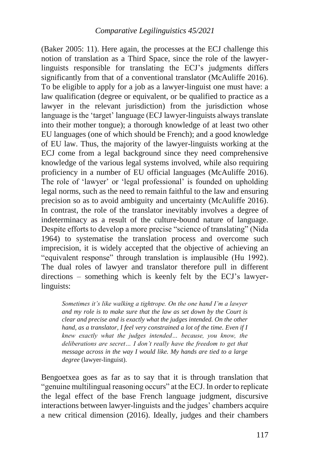(Baker 2005: 11). Here again, the processes at the ECJ challenge this notion of translation as a Third Space, since the role of the lawyerlinguists responsible for translating the ECJ's judgments differs significantly from that of a conventional translator (McAuliffe 2016). To be eligible to apply for a job as a lawyer-linguist one must have: a law qualification (degree or equivalent, or be qualified to practice as a lawyer in the relevant jurisdiction) from the jurisdiction whose language is the 'target' language (ECJ lawyer-linguists always translate into their mother tongue); a thorough knowledge of at least two other EU languages (one of which should be French); and a good knowledge of EU law. Thus, the majority of the lawyer-linguists working at the ECJ come from a legal background since they need comprehensive knowledge of the various legal systems involved, while also requiring proficiency in a number of EU official languages (McAuliffe 2016). The role of 'lawyer' or 'legal professional' is founded on upholding legal norms, such as the need to remain faithful to the law and ensuring precision so as to avoid ambiguity and uncertainty (McAuliffe 2016). In contrast, the role of the translator inevitably involves a degree of indeterminacy as a result of the culture-bound nature of language. Despite efforts to develop a more precise "science of translating" (Nida 1964) to systematise the translation process and overcome such imprecision, it is widely accepted that the objective of achieving an "equivalent response" through translation is implausible (Hu 1992). The dual roles of lawyer and translator therefore pull in different directions – something which is keenly felt by the ECJ's lawyerlinguists:

*Sometimes it's like walking a tightrope. On the one hand I'm a lawyer and my role is to make sure that the law as set down by the Court is clear and precise and is exactly what the judges intended. On the other hand, as a translator, I feel very constrained a lot of the time. Even if I knew exactly what the judges intended… because, you know, the deliberations are secret… I don't really have the freedom to get that message across in the way I would like. My hands are tied to a large degree* (lawyer-linguist).

Bengoetxea goes as far as to say that it is through translation that "genuine multilingual reasoning occurs" at the ECJ. In order to replicate the legal effect of the base French language judgment, discursive interactions between lawyer-linguists and the judges' chambers acquire a new critical dimension (2016). Ideally, judges and their chambers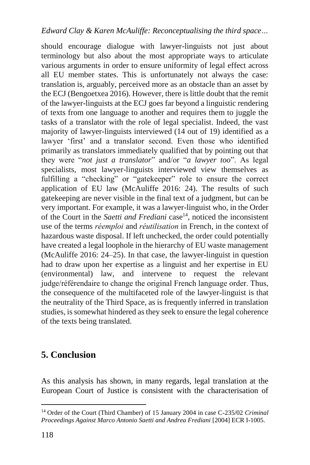should encourage dialogue with lawyer-linguists not just about terminology but also about the most appropriate ways to articulate various arguments in order to ensure uniformity of legal effect across all EU member states. This is unfortunately not always the case: translation is, arguably, perceived more as an obstacle than an asset by the ECJ (Bengoetxea 2016). However, there is little doubt that the remit of the lawyer-linguists at the ECJ goes far beyond a linguistic rendering of texts from one language to another and requires them to juggle the tasks of a translator with the role of legal specialist. Indeed, the vast majority of lawyer-linguists interviewed (14 out of 19) identified as a lawyer 'first' and a translator second. Even those who identified primarily as translators immediately qualified that by pointing out that they were "*not just a translator*" and/or "*a lawyer too*". As legal specialists, most lawyer-linguists interviewed view themselves as fulfilling a "checking" or "gatekeeper" role to ensure the correct application of EU law (McAuliffe 2016: 24). The results of such gatekeeping are never visible in the final text of a judgment, but can be very important. For example, it was a lawyer-linguist who, in the Order of the Court in the *Saetti and Frediani* case<sup>14</sup>, noticed the inconsistent use of the terms *réemploi* and *réutilisation* in French, in the context of hazardous waste disposal. If left unchecked, the order could potentially have created a legal loophole in the hierarchy of EU waste management (McAuliffe 2016: 24–25). In that case, the lawyer-linguist in question had to draw upon her expertise as a linguist and her expertise in EU (environmental) law, and intervene to request the relevant judge/référendaire to change the original French language order. Thus, the consequence of the multifaceted role of the lawyer-linguist is that the neutrality of the Third Space, as is frequently inferred in translation studies, is somewhat hindered as they seek to ensure the legal coherence of the texts being translated.

## **5. Conclusion**

As this analysis has shown, in many regards, legal translation at the European Court of Justice is consistent with the characterisation of

<sup>14</sup> Order of the Court (Third Chamber) of 15 January 2004 in case C-235/02 *Criminal Proceedings Against Marco Antonio Saetti and Andrea Frediani* [2004] ECR I-1005.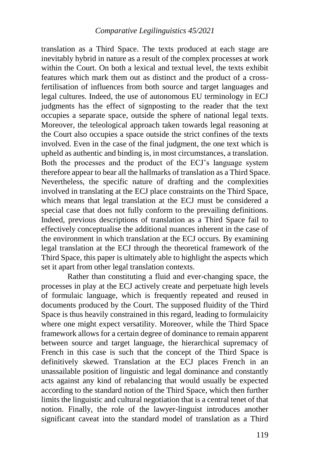translation as a Third Space. The texts produced at each stage are inevitably hybrid in nature as a result of the complex processes at work within the Court. On both a lexical and textual level, the texts exhibit features which mark them out as distinct and the product of a crossfertilisation of influences from both source and target languages and legal cultures. Indeed, the use of autonomous EU terminology in ECJ judgments has the effect of signposting to the reader that the text occupies a separate space, outside the sphere of national legal texts. Moreover, the teleological approach taken towards legal reasoning at the Court also occupies a space outside the strict confines of the texts involved. Even in the case of the final judgment, the one text which is upheld as authentic and binding is, in most circumstances, a translation. Both the processes and the product of the ECJ's language system therefore appear to bear all the hallmarks of translation as a Third Space. Nevertheless, the specific nature of drafting and the complexities involved in translating at the ECJ place constraints on the Third Space, which means that legal translation at the ECJ must be considered a special case that does not fully conform to the prevailing definitions. Indeed, previous descriptions of translation as a Third Space fail to effectively conceptualise the additional nuances inherent in the case of the environment in which translation at the ECJ occurs. By examining legal translation at the ECJ through the theoretical framework of the Third Space, this paper is ultimately able to highlight the aspects which set it apart from other legal translation contexts.

Rather than constituting a fluid and ever-changing space, the processes in play at the ECJ actively create and perpetuate high levels of formulaic language, which is frequently repeated and reused in documents produced by the Court. The supposed fluidity of the Third Space is thus heavily constrained in this regard, leading to formulaicity where one might expect versatility. Moreover, while the Third Space framework allows for a certain degree of dominance to remain apparent between source and target language, the hierarchical supremacy of French in this case is such that the concept of the Third Space is definitively skewed. Translation at the ECJ places French in an unassailable position of linguistic and legal dominance and constantly acts against any kind of rebalancing that would usually be expected according to the standard notion of the Third Space, which then further limits the linguistic and cultural negotiation that is a central tenet of that notion. Finally, the role of the lawyer-linguist introduces another significant caveat into the standard model of translation as a Third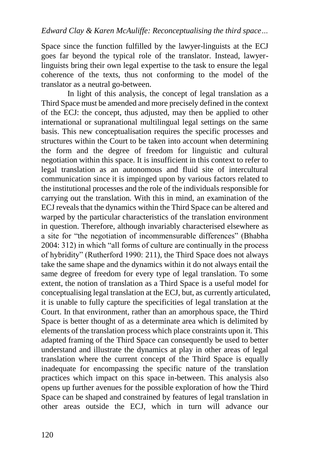Space since the function fulfilled by the lawyer-linguists at the ECJ goes far beyond the typical role of the translator. Instead, lawyerlinguists bring their own legal expertise to the task to ensure the legal coherence of the texts, thus not conforming to the model of the translator as a neutral go-between.

In light of this analysis, the concept of legal translation as a Third Space must be amended and more precisely defined in the context of the ECJ: the concept, thus adjusted, may then be applied to other international or supranational multilingual legal settings on the same basis. This new conceptualisation requires the specific processes and structures within the Court to be taken into account when determining the form and the degree of freedom for linguistic and cultural negotiation within this space. It is insufficient in this context to refer to legal translation as an autonomous and fluid site of intercultural communication since it is impinged upon by various factors related to the institutional processes and the role of the individuals responsible for carrying out the translation. With this in mind, an examination of the ECJ reveals that the dynamics within the Third Space can be altered and warped by the particular characteristics of the translation environment in question. Therefore, although invariably characterised elsewhere as a site for "the negotiation of incommensurable differences" (Bhabha 2004: 312) in which "all forms of culture are continually in the process of hybridity" (Rutherford 1990: 211), the Third Space does not always take the same shape and the dynamics within it do not always entail the same degree of freedom for every type of legal translation. To some extent, the notion of translation as a Third Space is a useful model for conceptualising legal translation at the ECJ, but, as currently articulated, it is unable to fully capture the specificities of legal translation at the Court. In that environment, rather than an amorphous space, the Third Space is better thought of as a determinate area which is delimited by elements of the translation process which place constraints upon it. This adapted framing of the Third Space can consequently be used to better understand and illustrate the dynamics at play in other areas of legal translation where the current concept of the Third Space is equally inadequate for encompassing the specific nature of the translation practices which impact on this space in-between. This analysis also opens up further avenues for the possible exploration of how the Third Space can be shaped and constrained by features of legal translation in other areas outside the ECJ, which in turn will advance our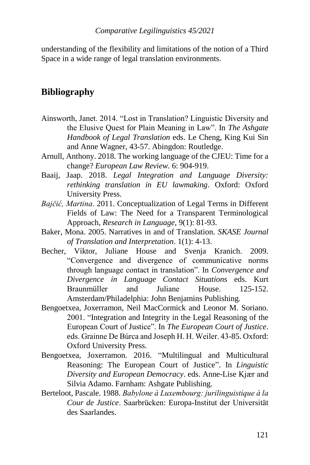#### *Comparative Legilinguistics 45/2021*

understanding of the flexibility and limitations of the notion of a Third Space in a wide range of legal translation environments.

### **Bibliography**

- Ainsworth, Janet. 2014. "Lost in Translation? Linguistic Diversity and the Elusive Quest for Plain Meaning in Law". In *The Ashgate Handbook of Legal Translation* eds. Le Cheng, King Kui Sin and Anne Wagner, 43-57. Abingdon: Routledge.
- Arnull, Anthony. 2018. The working language of the CJEU: Time for a change? *European Law Review*. 6: 904-919.
- Baaij, Jaap. 2018. *Legal Integration and Language Diversity: rethinking translation in EU lawmaking*. Oxford: Oxford University Press.
- *Bajčić, Martina*. 2011. Conceptualization of Legal Terms in Different Fields of Law: The Need for a Transparent Terminological Approach, *Research in Language*, 9(1): 81-93.
- Baker, Mona. 2005. Narratives in and of Translation. *SKASE Journal of Translation and Interpretation*. 1(1): 4-13.
- Becher, Viktor, Juliane House and Svenja Kranich. 2009. "Convergence and divergence of communicative norms through language contact in translation". In *Convergence and Divergence in Language Contact Situations* eds. Kurt Braunmüller and Juliane House. 125-152. Amsterdam/Philadelphia: John Benjamins Publishing.
- Bengoetxea, Joxerramon, Neil MacCormick and Leonor M. Soriano. 2001. "Integration and Integrity in the Legal Reasoning of the European Court of Justice". In *The European Court of Justice*. eds. Grainne De Búrca and Joseph H. H. Weiler. 43-85. Oxford: Oxford University Press.
- Bengoetxea, Joxerramon. 2016. "Multilingual and Multicultural Reasoning: The European Court of Justice". In *Linguistic Diversity and European Democracy*. eds. Anne-Lise Kjær and Silvia Adamo. Farnham: Ashgate Publishing.
- Berteloot, Pascale. 1988. *Babylone à Luxembourg: jurilinguistique à la Cour de Justice*. Saarbrücken: Europa-Institut der Universität des Saarlandes.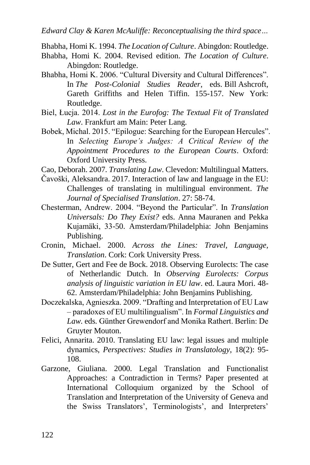Bhabha, Homi K. 1994. *The Location of Culture*. Abingdon: Routledge.

- Bhabha, Homi K. 2004. Revised edition. *The Location of Culture*. Abingdon: Routledge.
- Bhabha, Homi K. 2006. "Cultural Diversity and Cultural Differences". In *The Post-Colonial Studies Reader*, eds. Bill Ashcroft, Gareth Griffiths and Helen Tiffin. 155-157. New York: Routledge.
- Biel, Łucja. 2014. *Lost in the Eurofog: The Textual Fit of Translated Law*. Frankfurt am Main: Peter Lang.
- Bobek, Michal. 2015. "Epilogue: Searching for the European Hercules". In *Selecting Europe's Judges: A Critical Review of the Appointment Procedures to the European Courts*. Oxford: Oxford University Press.

Cao, Deborah. 2007. *Translating Law*. Clevedon: Multilingual Matters.

- Čavoški, Aleksandra. 2017. Interaction of law and language in the EU: Challenges of translating in multilingual environment. *The Journal of Specialised Translation*. 27: 58-74.
- Chesterman, Andrew. 2004. "Beyond the Particular". In *Translation Universals: Do They Exist?* eds. Anna Mauranen and Pekka Kujamäki, 33-50. Amsterdam/Philadelphia: John Benjamins Publishing.
- Cronin, Michael. 2000. *Across the Lines: Travel, Language, Translation*. Cork: Cork University Press.
- De Sutter, Gert and Fee de Bock. 2018. Observing Eurolects: The case of Netherlandic Dutch. In *Observing Eurolects: Corpus analysis of linguistic variation in EU law*. ed. Laura Mori. 48- 62. Amsterdam/Philadelphia: John Benjamins Publishing.
- Doczekalska, Agnieszka. 2009. "Drafting and Interpretation of EU Law – paradoxes of EU multilingualism". In *Formal Linguistics and Law.* eds*.* Günther Grewendorf and Monika Rathert. Berlin: De Gruyter Mouton.
- Felici, Annarita. 2010. Translating EU law: legal issues and multiple dynamics, *Perspectives: Studies in Translatology*, 18(2): 95- 108.
- Garzone, Giuliana. 2000. Legal Translation and Functionalist Approaches: a Contradiction in Terms? Paper presented at International Colloquium organized by the School of Translation and Interpretation of the University of Geneva and the Swiss Translators', Terminologists', and Interpreters'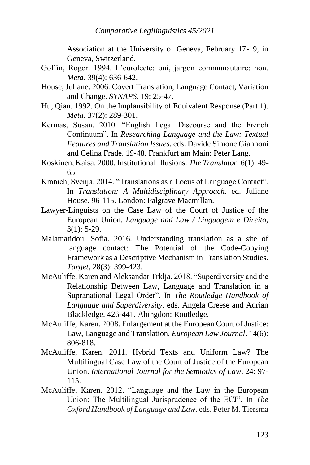Association at the University of Geneva, February 17-19, in Geneva, Switzerland.

- Goffin, Roger. 1994. L'eurolecte: oui, jargon communautaire: non. *Meta*. 39(4): 636-642.
- House, Juliane. 2006. Covert Translation, Language Contact, Variation and Change. *SYNAPS*, 19: 25-47.
- Hu, Qian. 1992. On the Implausibility of Equivalent Response (Part 1). *Meta*. 37(2): 289-301.
- Kermas, Susan. 2010. "English Legal Discourse and the French Continuum". In *Researching Language and the Law: Textual Features and Translation Issues*. eds. Davide Simone Giannoni and Celina Frade. 19-48. Frankfurt am Main: Peter Lang.
- Koskinen, Kaisa. 2000. Institutional Illusions. *The Translator*. 6(1): 49- 65.
- Kranich, Svenja. 2014. "Translations as a Locus of Language Contact". In *Translation: A Multidisciplinary Approach.* ed. Juliane House. 96-115. London: Palgrave Macmillan.
- Lawyer-Linguists on the Case Law of the Court of Justice of the European Union. *Language and Law / Linguagem e Direito,* 3(1): 5-29.
- Malamatidou, Sofia. 2016. Understanding translation as a site of language contact: The Potential of the Code-Copying Framework as a Descriptive Mechanism in Translation Studies. *Target,* 28(3): 399-423.
- McAuliffe, Karen and Aleksandar Trklja. 2018. "Superdiversity and the Relationship Between Law, Language and Translation in a Supranational Legal Order". In *The Routledge Handbook of Language and Superdiversity.* eds. Angela Creese and Adrian Blackledge. 426-441. Abingdon: Routledge.
- McAuliffe, Karen. 2008. Enlargement at the European Court of Justice: Law, Language and Translation. *European Law Journal*. 14(6): 806-818.
- McAuliffe, Karen. 2011. Hybrid Texts and Uniform Law? The Multilingual Case Law of the Court of Justice of the European Union. *International Journal for the Semiotics of Law*. 24: 97- 115.
- McAuliffe, Karen. 2012. "Language and the Law in the European Union: The Multilingual Jurisprudence of the ECJ". In *The Oxford Handbook of Language and Law*. eds. Peter M. Tiersma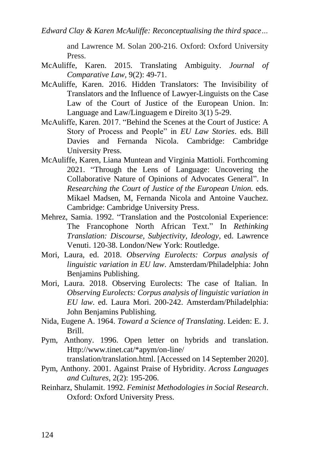and Lawrence M. Solan 200-216. Oxford: Oxford University Press.

- McAuliffe, Karen. 2015. Translating Ambiguity. *Journal of Comparative Law*, 9(2): 49-71.
- McAuliffe, Karen. 2016. Hidden Translators: The Invisibility of Translators and the Influence of Lawyer-Linguists on the Case Law of the Court of Justice of the European Union. In: Language and Law/Linguagem e Direito 3(1) 5-29.
- McAuliffe, Karen. 2017. "Behind the Scenes at the Court of Justice: A Story of Process and People" in *EU Law Stories*. eds. Bill Davies and Fernanda Nicola. Cambridge: Cambridge University Press.
- McAuliffe, Karen, Liana Muntean and Virginia Mattioli. Forthcoming 2021. "Through the Lens of Language: Uncovering the Collaborative Nature of Opinions of Advocates General". In *Researching the Court of Justice of the European Union.* eds*.* Mikael Madsen, M, Fernanda Nicola and Antoine Vauchez. Cambridge: Cambridge University Press.
- Mehrez, Samia. 1992. "Translation and the Postcolonial Experience: The Francophone North African Text." In *Rethinking Translation: Discourse, Subjectivity, Ideology*, ed. Lawrence Venuti. 120-38. London/New York: Routledge.
- Mori, Laura, ed. 2018. *Observing Eurolects: Corpus analysis of linguistic variation in EU law*. Amsterdam/Philadelphia: John Benjamins Publishing.
- Mori, Laura. 2018. Observing Eurolects: The case of Italian. In *Observing Eurolects: Corpus analysis of linguistic variation in EU law*. ed. Laura Mori. 200-242. Amsterdam/Philadelphia: John Benjamins Publishing.
- Nida, Eugene A. 1964. *Toward a Science of Translating*. Leiden: E. J. Brill.
- Pym, Anthony. 1996. Open letter on hybrids and translation. Http://www.tinet.cat/\*apym/on-line/

translation/translation.html. [Accessed on 14 September 2020].

- Pym, Anthony. 2001. Against Praise of Hybridity. *Across Languages and Cultures*, 2(2): 195-206.
- Reinharz, Shulamit. 1992. *Feminist Methodologies in Social Research*. Oxford: Oxford University Press.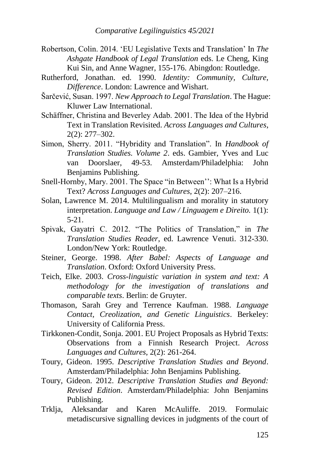- Robertson, Colin. 2014. 'EU Legislative Texts and Translation' In *The Ashgate Handbook of Legal Translation* eds. Le Cheng, King Kui Sin, and Anne Wagner, 155-176. Abingdon: Routledge.
- Rutherford, Jonathan. ed. 1990. *Identity: Community, Culture, Difference*. London: Lawrence and Wishart.
- Šarčević, Susan. 1997. *New Approach to Legal Translation*. The Hague: Kluwer Law International.
- Schäffner, Christina and Beverley Adab. 2001. The Idea of the Hybrid Text in Translation Revisited. *Across Languages and Cultures*, 2(2): 277–302.
- Simon, Sherry. 2011. "Hybridity and Translation". In *Handbook of Translation Studies. Volume 2*. eds. Gambier, Yves and Luc van Doorslaer, 49-53. Amsterdam/Philadelphia: John Benjamins Publishing.
- Snell-Hornby, Mary. 2001. The Space "in Between'': What Is a Hybrid Text? *Across Languages and Cultures*, 2(2): 207–216.
- Solan, Lawrence M. 2014. Multilingualism and morality in statutory interpretation. *Language and Law / Linguagem e Direito.* 1(1): 5-21.
- Spivak, Gayatri C. 2012. "The Politics of Translation," in *The Translation Studies Reader*, ed. Lawrence Venuti. 312-330. London/New York: Routledge.
- Steiner, George. 1998. *After Babel: Aspects of Language and Translation*. Oxford: Oxford University Press.
- Teich, Elke. 2003. *Cross-linguistic variation in system and text: A methodology for the investigation of translations and comparable texts*. Berlin: de Gruyter.
- Thomason, Sarah Grey and Terrence Kaufman. 1988. *Language Contact, Creolization, and Genetic Linguistics*. Berkeley: University of California Press.
- Tirkkonen-Condit, Sonja. 2001. EU Project Proposals as Hybrid Texts: Observations from a Finnish Research Project. *Across Languages and Cultures*, 2(2): 261-264.
- Toury, Gideon. 1995. *Descriptive Translation Studies and Beyond*. Amsterdam/Philadelphia: John Benjamins Publishing.
- Toury, Gideon. 2012. *Descriptive Translation Studies and Beyond: Revised Edition*. Amsterdam/Philadelphia: John Benjamins Publishing.
- Trklja, Aleksandar and Karen McAuliffe. 2019. Formulaic metadiscursive signalling devices in judgments of the court of